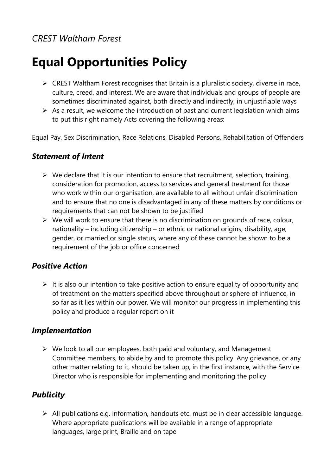# *CREST Waltham Forest*

# **Equal Opportunities Policy**

- $\triangleright$  CREST Waltham Forest recognises that Britain is a pluralistic society, diverse in race, culture, creed, and interest. We are aware that individuals and groups of people are sometimes discriminated against, both directly and indirectly, in unjustifiable ways
- $\triangleright$  As a result, we welcome the introduction of past and current legislation which aims to put this right namely Acts covering the following areas:

Equal Pay, Sex Discrimination, Race Relations, Disabled Persons, Rehabilitation of Offenders

#### *Statement of Intent*

- $\triangleright$  We declare that it is our intention to ensure that recruitment, selection, training, consideration for promotion, access to services and general treatment for those who work within our organisation, are available to all without unfair discrimination and to ensure that no one is disadvantaged in any of these matters by conditions or requirements that can not be shown to be justified
- $\triangleright$  We will work to ensure that there is no discrimination on grounds of race, colour, nationality – including citizenship – or ethnic or national origins, disability, age, gender, or married or single status, where any of these cannot be shown to be a requirement of the job or office concerned

#### *Positive Action*

 $\triangleright$  It is also our intention to take positive action to ensure equality of opportunity and of treatment on the matters specified above throughout or sphere of influence, in so far as it lies within our power. We will monitor our progress in implementing this policy and produce a regular report on it

#### *Implementation*

 $\triangleright$  We look to all our employees, both paid and voluntary, and Management Committee members, to abide by and to promote this policy. Any grievance, or any other matter relating to it, should be taken up, in the first instance, with the Service Director who is responsible for implementing and monitoring the policy

### *Publicity*

 $\triangleright$  All publications e.g. information, handouts etc. must be in clear accessible language. Where appropriate publications will be available in a range of appropriate languages, large print, Braille and on tape